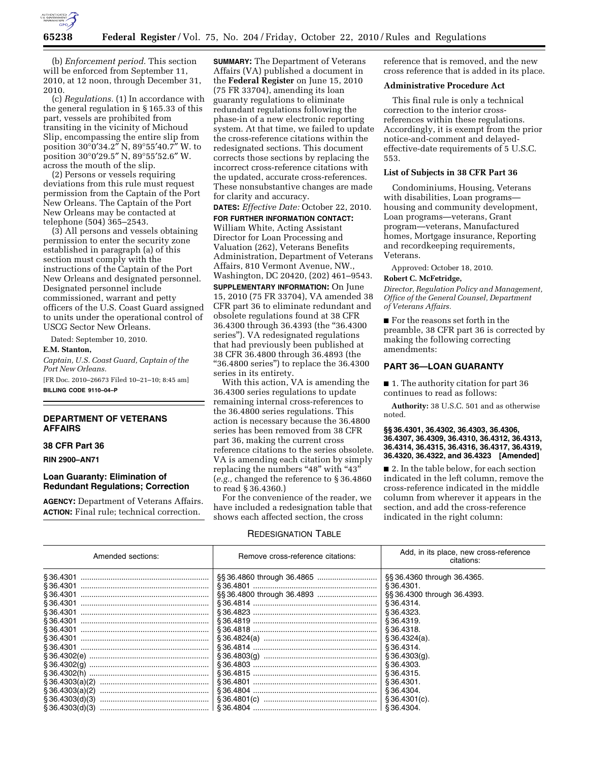

(b) *Enforcement period.* This section will be enforced from September 11, 2010, at 12 noon, through December 31, 2010.

(c) *Regulations.* (1) In accordance with the general regulation in § 165.33 of this part, vessels are prohibited from transiting in the vicinity of Michoud Slip, encompassing the entire slip from position 30°0′34.2″ N, 89°55′40.7″ W. to position 30°0′29.5″ N, 89°55′52.6″ W. across the mouth of the slip.

(2) Persons or vessels requiring deviations from this rule must request permission from the Captain of the Port New Orleans. The Captain of the Port New Orleans may be contacted at telephone (504) 365–2543.

(3) All persons and vessels obtaining permission to enter the security zone established in paragraph (a) of this section must comply with the instructions of the Captain of the Port New Orleans and designated personnel. Designated personnel include commissioned, warrant and petty officers of the U.S. Coast Guard assigned to units under the operational control of USCG Sector New Orleans.

Dated: September 10, 2010.

#### **E.M. Stanton,**

*Captain, U.S. Coast Guard, Captain of the Port New Orleans.* 

[FR Doc. 2010–26673 Filed 10–21–10; 8:45 am] **BILLING CODE 9110–04–P** 

## **DEPARTMENT OF VETERANS AFFAIRS**

## **38 CFR Part 36**

**RIN 2900–AN71** 

### **Loan Guaranty: Elimination of Redundant Regulations; Correction**

**AGENCY:** Department of Veterans Affairs. **ACTION:** Final rule; technical correction.

**SUMMARY:** The Department of Veterans Affairs (VA) published a document in the **Federal Register** on June 15, 2010 (75 FR 33704), amending its loan guaranty regulations to eliminate redundant regulations following the phase-in of a new electronic reporting system. At that time, we failed to update the cross-reference citations within the redesignated sections. This document corrects those sections by replacing the incorrect cross-reference citations with the updated, accurate cross-references. These nonsubstantive changes are made for clarity and accuracy.

**DATES:** *Effective Date:* October 22, 2010.

**FOR FURTHER INFORMATION CONTACT:**  William White, Acting Assistant Director for Loan Processing and Valuation (262), Veterans Benefits Administration, Department of Veterans Affairs, 810 Vermont Avenue, NW., Washington, DC 20420, (202) 461–9543.

**SUPPLEMENTARY INFORMATION:** On June 15, 2010 (75 FR 33704), VA amended 38 CFR part 36 to eliminate redundant and obsolete regulations found at 38 CFR 36.4300 through 36.4393 (the ''36.4300 series''). VA redesignated regulations that had previously been published at 38 CFR 36.4800 through 36.4893 (the ''36.4800 series'') to replace the 36.4300 series in its entirety.

With this action, VA is amending the 36.4300 series regulations to update remaining internal cross-references to the 36.4800 series regulations. This action is necessary because the 36.4800 series has been removed from 38 CFR part 36, making the current cross reference citations to the series obsolete. VA is amending each citation by simply replacing the numbers "48" with "43" (*e.g.,* changed the reference to § 36.4860 to read § 36.4360.)

For the convenience of the reader, we have included a redesignation table that shows each affected section, the cross

## REDESIGNATION TABLE

reference that is removed, and the new cross reference that is added in its place.

#### **Administrative Procedure Act**

This final rule is only a technical correction to the interior crossreferences within these regulations. Accordingly, it is exempt from the prior notice-and-comment and delayedeffective-date requirements of 5 U.S.C. 553.

## **List of Subjects in 38 CFR Part 36**

Condominiums, Housing, Veterans with disabilities, Loan programs housing and community development, Loan programs—veterans, Grant program—veterans, Manufactured homes, Mortgage insurance, Reporting and recordkeeping requirements, Veterans.

Approved: October 18, 2010.

## **Robert C. McFetridge,**

*Director, Regulation Policy and Management, Office of the General Counsel, Department of Veterans Affairs.* 

■ For the reasons set forth in the preamble, 38 CFR part 36 is corrected by making the following correcting amendments:

### **PART 36—LOAN GUARANTY**

■ 1. The authority citation for part 36 continues to read as follows:

**Authority:** 38 U.S.C. 501 and as otherwise noted.

#### **§§ 36.4301, 36.4302, 36.4303, 36.4306, 36.4307, 36.4309, 36.4310, 36.4312, 36.4313, 36.4314, 36.4315, 36.4316, 36.4317, 36.4319, 36.4320, 36.4322, and 36.4323 [Amended]**

■ 2. In the table below, for each section indicated in the left column, remove the cross-reference indicated in the middle column from wherever it appears in the section, and add the cross-reference indicated in the right column:

| Amended sections: | Remove cross-reference citations: | Add, in its place, new cross-reference<br>citations: |
|-------------------|-----------------------------------|------------------------------------------------------|
|                   |                                   | §§ 36.4360 through 36.4365.                          |
|                   |                                   | \$36.4301.                                           |
| S 36.4301         |                                   | \$\$36.4300 through 36.4393.                         |
| S 36.4301         |                                   | \$36.4314.                                           |
|                   |                                   | S 36.4323.                                           |
|                   |                                   | S 36.4319.                                           |
|                   |                                   | \$36.4318.                                           |
|                   |                                   | § 36.4324(a).                                        |
|                   |                                   | S 36.4314.                                           |
|                   |                                   | $\S 36.4303(q)$ .                                    |
|                   |                                   | \$36.4303.                                           |
|                   |                                   | \$36.4315.                                           |
|                   |                                   | S 36.4301.                                           |
|                   |                                   | S 36.4304.                                           |
| \$36.4303(d)(3)   |                                   | § 36.4301(c).                                        |
|                   |                                   | S 36.4304.                                           |